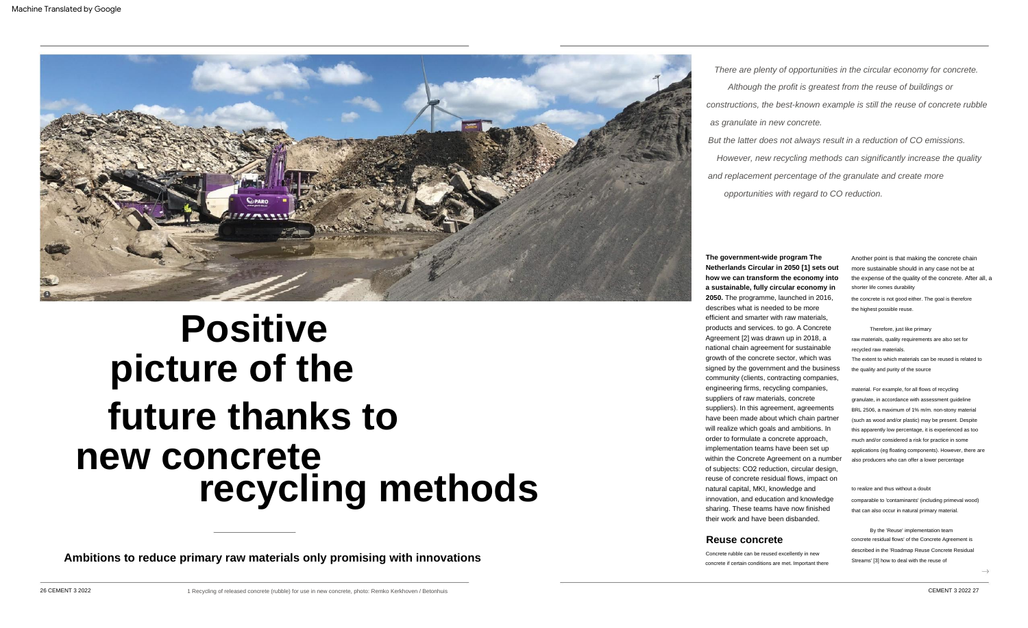There are plenty of opportunities in the circular economy for concrete.

Although the profit is greatest from the reuse of buildings or constructions, the best-known example is still the reuse of concrete rubble

opportunities with regard to CO reduction. But the latter does not always result in a reduction of CO emissions. However, new recycling methods can significantly increase the quality and replacement percentage of the granulate and create more

as granulate in new concrete.

#### raw materials, quality requirements are also set for recycled raw materials. The extent to which materials can be reused is related to Therefore, just like primary

# **Positive picture of the future thanks to new concrete recycling methods**



#### to realize and thus without a doubt comparable to 'contaminants' (including primeval wood) that can also occur in natural primary material.

By the 'Reuse' implementation team described in the 'Roadmap Reuse Concrete Residual Streams' [3] how to deal with the reuse of concrete residual flows' of the Concrete Agreement is

the quality and purity of the source

the concrete is not good either. The goal is therefore the highest possible reuse.

shorter life comes durability Another point is that making the concrete chain more sustainable should in any case not be at the expense of the quality of the concrete. After all, a

material. For example, for all flows of recycling granulate, in accordance with assessment guideline BRL 2506, a maximum of 1% m/m. non-stony material (such as wood and/or plastic) may be present. Despite this apparently low percentage, it is experienced as too much and/or considered a risk for practice in some applications (eg floating components). However, there are also producers who can offer a lower percentage

**Ambitions to reduce primary raw materials only promising with innovations**

## **The government-wide program The Netherlands Circular in 2050 [1] sets out how we can transform the economy into a sustainable, fully circular economy in**

**2050.** The programme, launched in 2016, describes what is needed to be more efficient and smarter with raw materials, products and services. to go. A Concrete Agreement [2] was drawn up in 2018, a national chain agreement for sustainable growth of the concrete sector, which was signed by the government and the business community (clients, contracting companies, engineering firms, recycling companies, suppliers of raw materials, concrete suppliers). In this agreement, agreements have been made about which chain partner will realize which goals and ambitions. In order to formulate a concrete approach, implementation teams have been set up within the Concrete Agreement on a number of subjects: CO2 reduction, circular design, reuse of concrete residual flows, impact on natural capital, MKI, knowledge and innovation, and education and knowledge sharing. These teams have now finished their work and have been disbanded.

# **Reuse concrete**

Concrete rubble can be reused excellently in new concrete if certain conditions are met. Important there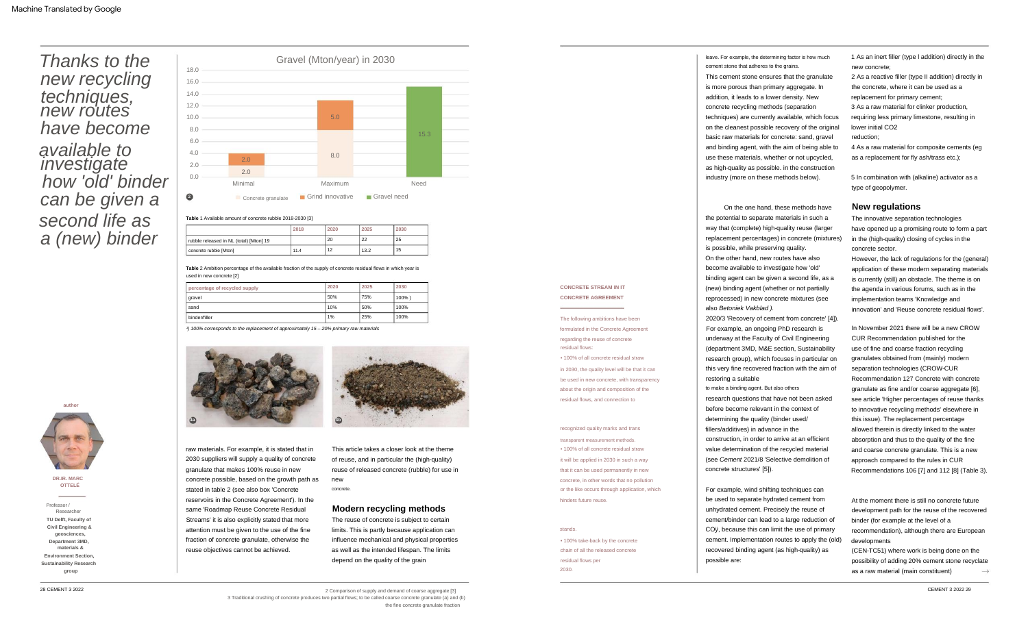On the one hand, these methods have the potential to separate materials in such a way that (complete) high-quality reuse (larger replacement percentages) in concrete (mixtures) is possible, while preserving quality.

fillers/additives) in advance in the construction, in order to arrive at an efficient value determination of the recycled material (see Cement 2021/8 'Selective demolition of concrete structures' [5]). research questions that have not been asked before become relevant in the context of determining the quality (binder used/

cement stone that adheres to the grains. leave. For example, the determining factor is how much

to make a binding agent. But also others

For example, wind shifting techniques can be used to separate hydrated cement from unhydrated cement. Precisely the reuse of cement/binder can lead to a large reduction of COÿ, because this can limit the use of primary cement. Implementation routes to apply the (old) recovered binding agent (as high-quality) as

possible are:

This cement stone ensures that the granulate is more porous than primary aggregate. In addition, it leads to a lower density. New concrete recycling methods (separation techniques) are currently available, which focus on the cleanest possible recovery of the original basic raw materials for concrete: sand, gravel and binding agent, with the aim of being able to use these materials, whether or not upcycled, as high-quality as possible. in the construction industry (more on these methods below).

2020/3 'Recovery of cement from concrete' [4]). For example, an ongoing PhD research is underway at the Faculty of Civil Engineering (department 3MD, M&E section, Sustainability research group), which focuses in particular on this very fine recovered fraction with the aim of restoring a suitable

concrete. This article takes a closer look at the theme of reuse, and in particular the (high-quality) reuse of released concrete (rubble) for use in new

The reuse of concrete is subject to certain limits. This is partly because application can influence mechanical and physical properties as well as the intended lifespan. The limits depend on the quality of the grain

2 Comparison of supply and demand of coarse aggregate [3]

On the other hand, new routes have also become available to investigate how 'old' binding agent can be given a second life, as a (new) binding agent (whether or not partially reprocessed) in new concrete mixtures (see also Betoniek Vakblad ).

raw materials. For example, it is stated that in 2030 suppliers will supply a quality of concrete granulate that makes 100% reuse in new concrete possible, based on the growth path as stated in table 2 (see also box 'Concrete reservoirs in the Concrete Agreement'). In the same 'Roadmap Reuse Concrete Residual Streams' it is also explicitly stated that more attention must be given to the use of the fine fraction of concrete granulate, otherwise the reuse objectives cannot be achieved.

in 2030, the quality level will be that it can be used in new concrete, with transparency about the origin and composition of the residual flows, and connection to

2030. • 100% take-back by the concrete chain of all the released concrete residual flows per

#### **CONCRETE STREAM IN IT CONCRETE AGREEMENT**

recognized quality marks and trans it will be applied in 2030 in such a way that it can be used permanently in new concrete, in other words that no pollution or the like occurs through application, which • 100% of all concrete residual straw transparent measurement methods.

hinders future reuse.

• 100% of all concrete residual straw

The following ambitions have been formulated in the Concrete Agreement regarding the reuse of concrete residual flows:

#### stands.

# Thanks to the new recycling techniques, new routes have become available to investigate how 'old' binder can be given a second life as a (new) binder

**Department 3MD,**

#### **Table** 1 Available amount of concrete rubble 2018-2030 [3]

**Civil Engineering &**

Professor /

autho

**group**

**Environment Section,**

| percentage of recycled supply | 2020 | 2025 | 2030      |
|-------------------------------|------|------|-----------|
| gravel                        | 50%  | 75%  | $100\%$ ) |
| sand                          | 10%  | 50%  | 100%      |
| binder/filler                 | 1%   | 25%  | 100%      |

<sup>1</sup>) 100% corresponds to the replacement of approximately 15 – 20% primary raw materials

3 Traditional crushing of concrete produces two partial flows; to be called coarse concrete granulate (a) and (b)

|                                         | 2018 | 2020 | 2025 | 2030 |
|-----------------------------------------|------|------|------|------|
| rubble released in NL (total) [Mton] 19 |      | 20   | 22   | 25   |
| concrete rubble [Mton]                  | 11.4 | 12   | 13.2 | 15   |

the fine concrete granulate fraction

**DR.IR. MARC OTTELÉ**

**geosciences,**

**TU Delft, Faculty of**

**Sustainability Research**

Researcher

**materials &**

**Table** 2 Ambition percentage of the available fraction of the supply of concrete residual flows in which year is used in new concrete [2]



1 As an inert filler (type l addition) directly in the new concrete;

2 As a reactive filler (type II addition) directly in the concrete, where it can be used as a replacement for primary cement;

3 As a raw material for clinker production, requiring less primary limestone, resulting in lower initial CO2

reduction;

4 As a raw material for composite cements (eg as a replacement for fly ash/trass etc.);

5 In combination with (alkaline) activator as a type of geopolymer.

### **New regulations**

The innovative separation technologies have opened up a promising route to form a part in the (high-quality) closing of cycles in the concrete sector.

However, the lack of regulations for the (general) application of these modern separating materials is currently (still) an obstacle. The theme is on the agenda in various forums, such as in the implementation teams 'Knowledge and innovation' and 'Reuse concrete residual flows'.

In November 2021 there will be a new CROW CUR Recommendation published for the use of fine and coarse fraction recycling granulates obtained from (mainly) modern separation technologies (CROW-CUR Recommendation 127 Concrete with concrete granulate as fine and/or coarse aggregate [6], see article 'Higher percentages of reuse thanks to innovative recycling methods' elsewhere in this issue). The replacement percentage allowed therein is directly linked to the water absorption and thus to the quality of the fine and coarse concrete granulate. This is a new approach compared to the rules in CUR Recommendations 106 [7] and 112 [8] (Table 3).

At the moment there is still no concrete future development path for the reuse of the recovered binder (for example at the level of a recommendation), although there are European developments

(CEN-TC51) where work is being done on the possibility of adding 20% cement stone recyclate as a raw material (main constituent)

#### **Modern recycling methods**



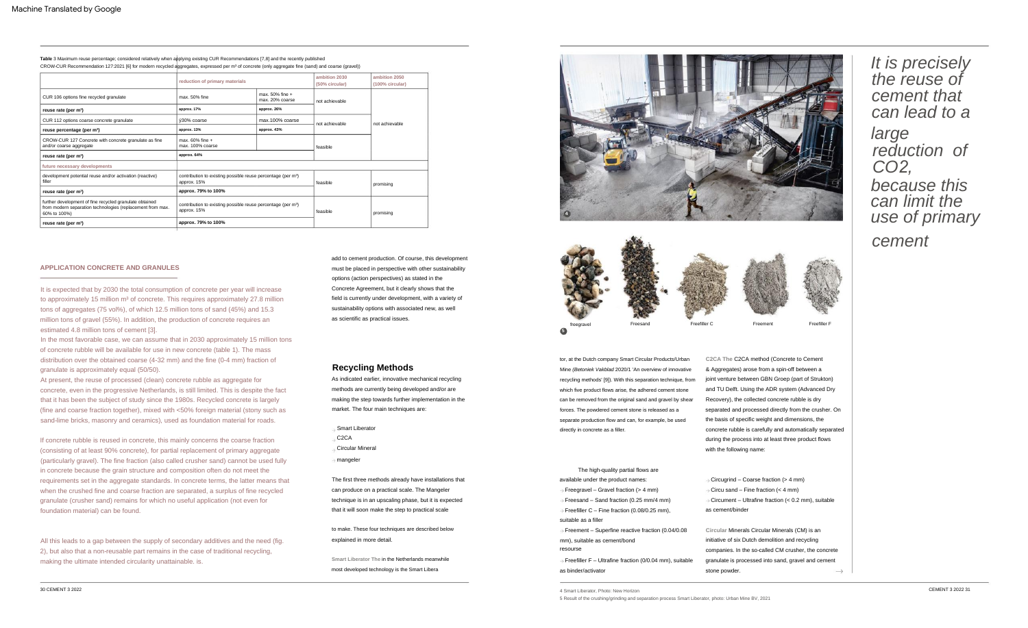**Smart Liberator The** in the Netherlands meanwhile most developed technology is the Smart Libera

tor, at the Dutch company Smart Circular Products/Urban Mine (Betoniek Vakblad 2020/1 'An overview of innovative recycling methods' [9]). With this separation technique, from which five product flows arise, the adhered cement stone can be removed from the original sand and gravel by shear forces. The powdered cement stone is released as a separate production flow and can, for example, be used directly in concrete as a filler.

All this leads to a gap between the supply of secondary additives and the need (fig. 2), but also that a non-reusable part remains in the case of traditional recycling, making the ultimate intended circularity unattainable. is.

It is expected that by 2030 the total consumption of concrete per year will increase to approximately 15 million m<sup>3</sup> of concrete. This requires approximately 27.8 million tons of aggregates (75 vol%), of which 12.5 million tons of sand (45%) and 15.3 million tons of gravel (55%). In addition, the production of concrete requires an estimated 4.8 million tons of cement [3].

At present, the reuse of processed (clean) concrete rubble as aggregate for concrete, even in the progressive Netherlands, is still limited. This is despite the fact that it has been the subject of study since the 1980s. Recycled concrete is largely (fine and coarse fraction together), mixed with <50% foreign material (stony such as sand-lime bricks, masonry and ceramics), used as foundation material for roads.

If concrete rubble is reused in concrete, this mainly concerns the coarse fraction (consisting of at least 90% concrete), for partial replacement of primary aggregate (particularly gravel). The fine fraction (also called crusher sand) cannot be used fully in concrete because the grain structure and composition often do not meet the requirements set in the aggregate standards. In concrete terms, the latter means that when the crushed fine and coarse fraction are separated, a surplus of fine recycled granulate (crusher sand) remains for which no useful application (not even for foundation material) can be found.

> **Circular** Minerals Circular Minerals (CM) is an ive of six Dutch demolition and recycling vanies. In the so-called CM crusher, the concrete late is processed into sand, gravel and cement powder.  $\rightarrow$

In the most favorable case, we can assume that in 2030 approximately 15 million tons of concrete rubble will be available for use in new concrete (table 1). The mass distribution over the obtained coarse (4-32 mm) and the fine (0-4 mm) fraction of granulate is approximately equal (50/50).

#### **APPLICATION CONCRETE AND GRANULES**



It is precisely the reuse of cement that can lead to a

large reduction of CO*2*, because this can limit the use of primary

cement

#### **Recycling Methods**

& Aggregates) arose from a spin-off between a joint venture between GBN Groep (part of Strukton) and TU Delft. Using the ADR system (Advanced Dry Recovery), the collected concrete rubble is dry separated and processed directly from the crusher. On the basis of specific weight and dimensions, the concrete rubble is carefully and automatically separated during the process into at least three product flows with the following name: **C2CA The** C2CA method (Concrete to Cement

- C2CA
- Circular Mineral
- mangeler

explained in more detail. to make. These four techniques are described below

Smart Liberator

As indicated earlier, innovative mechanical recycling methods are currently being developed and/or are making the step towards further implementation in the market. The four main techniques are:

add to cement production. Of course, this development must be placed in perspective with other sustainability options (action perspectives) as stated in the Concrete Agreement, but it clearly shows that the field is currently under development, with a variety of sustainability options with associated new, as well as scientific as practical issues.

| The high-quality partial flows are                                    |                    |
|-----------------------------------------------------------------------|--------------------|
| available under the product names:                                    | $\Rightarrow$ Circ |
| $\rightarrow$ Freegravel – Gravel fraction (> 4 mm)                   | $\Rightarrow$ Circ |
| $\rightarrow$ Freesand – Sand fraction (0.25 mm/4 mm)                 | $\rightarrow$ Circ |
| $\rightarrow$ Freefiller C – Fine fraction (0.08/0.25 mm),            | as cer             |
| suitable as a filler                                                  |                    |
| $\rightarrow$ Freement – Superfine reactive fraction (0.04/0.08       | Circu              |
| mm), suitable as cement/bond                                          | initiati           |
| resourse                                                              | comp               |
| $\rightarrow$ Freefiller F – Ultrafine fraction (0/0.04 mm), suitable | granu              |
| as binder/activator                                                   | stone              |
|                                                                       |                    |



The first three methods already have installations that can produce on a practical scale. The Mangeler technique is in an upscaling phase, but it is expected that it will soon make the step to practical scale

4 Smart Liberator, Photo: New Horizon

CROW-CUR Recommendation 127:2021 [6] for modern recycled aggregates, expressed per m³ of concrete (only aggregate fine (sand) and coarse (gravel)) **Table** 3 Maximum reuse percentage; considered relatively when applying existing CUR Recommendations [7,8] and the recently published

|                                                                                                                                       | reduction of primary materials                                                          |                                         | ambition 2030<br>(50% circular) | ambition 2050<br>(100% circular) |  |
|---------------------------------------------------------------------------------------------------------------------------------------|-----------------------------------------------------------------------------------------|-----------------------------------------|---------------------------------|----------------------------------|--|
| CUR 106 options fine recycled granulate                                                                                               | max. 50% fine                                                                           | max. $50\%$ fine $+$<br>max. 20% coarse | not achievable                  |                                  |  |
| reuse rate (per m <sup>3</sup> )                                                                                                      | approx. 17%                                                                             | approx. 26%                             |                                 | not achievable                   |  |
| CUR 112 options coarse concrete granulate                                                                                             | ÿ30% coarse                                                                             | max.100% coarse                         | not achievable                  |                                  |  |
| reuse percentage (per m <sup>3</sup> )                                                                                                | approx. 13%                                                                             | approx. 43%                             |                                 |                                  |  |
| CROW-CUR 127 Concrete with concrete granulate as fine<br>and/or coarse aggregate                                                      | max. 60% fine +<br>max. 100% coarse                                                     |                                         | feasible                        |                                  |  |
| reuse rate (per m <sup>3</sup> )                                                                                                      | approx. 64%                                                                             |                                         |                                 |                                  |  |
| future necessary developments                                                                                                         |                                                                                         |                                         |                                 |                                  |  |
| development potential reuse and/or activation (reactive)<br>filler                                                                    | contribution to existing possible reuse percentage (per m <sup>3</sup> )<br>approx. 15% |                                         | feasible                        | promising                        |  |
| reuse rate (per m <sup>3</sup> )                                                                                                      | approx. 79% to 100%                                                                     |                                         |                                 |                                  |  |
| further development of fine recycled granulate obtained<br>from modern separation technologies (replacement from max.<br>60% to 100%) | contribution to existing possible reuse percentage (per m <sup>3</sup> )<br>approx. 15% |                                         | feasible                        | promising                        |  |
| reuse rate (per m <sup>3</sup> )                                                                                                      | approx. 79% to 100%                                                                     |                                         |                                 |                                  |  |





Freemen

cument – Ultrafine fraction (< 0.2 mm), suitable ment/binder cu sand – Fine fraction  $(< 4$  mm) cugrind – Coarse fraction (> 4 mm)

5 Result of the crushing/grinding and separation process Smart Liberator, photo: Urban Mine BV, 2021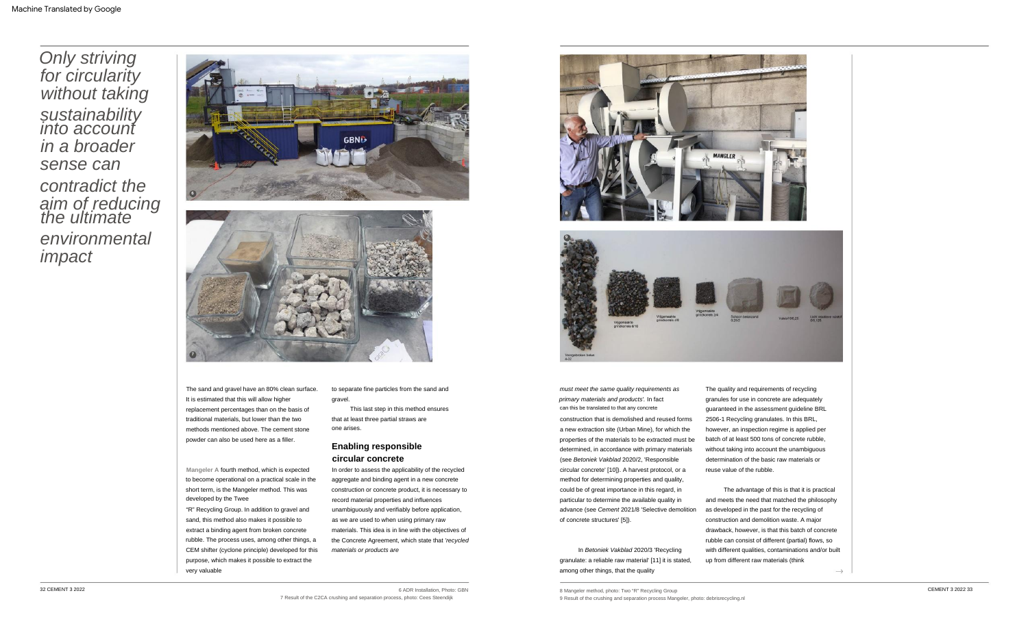"R" Recycling Group. In addition to gravel and sand, this method also makes it possible to extract a binding agent from broken concrete rubble. The process uses, among other things, a CEM shifter (cyclone principle) developed for this purpose, which makes it possible to extract the very valuable

The quality and requirements of recycling granules for use in concrete are adequately guaranteed in the assessment guideline BRL 2506-1 Recycling granulates. In this BRL, however, an inspection regime is applied per batch of at least 500 tons of concrete rubble, without taking into account the unambiguous determination of the basic raw materials or reuse value of the rubble.

one arises. This last step in this method ensures that at least three partial straws are

In order to assess the applicability of the recycled aggregate and binding agent in a new concrete construction or concrete product, it is necessary to record material properties and influences unambiguously and verifiably before application, as we are used to when using primary raw materials. This idea is in line with the objectives of the Concrete Agreement, which state that 'recycled materials or products are

to separate fine particles from the sand and gravel.

must meet the same quality requirements as primary materials and products'. In fact can this be translated to that any concrete construction that is demolished and reused forms a new extraction site (Urban Mine), for which the properties of the materials to be extracted must be determined, in accordance with primary materials (see Betoniek Vakblad 2020/2, 'Responsible circular concrete' [10]). A harvest protocol, or a method for determining properties and quality, could be of great importance in this regard, in particular to determine the available quality in advance (see Cement 2021/8 'Selective demolition of concrete structures' [5]).

**Mangeler A** fourth method, which is expected to become operational on a practical scale in the short term, is the Mangeler method. This was developed by the Twee

The sand and gravel have an 80% clean surface. It is estimated that this will allow higher replacement percentages than on the basis of traditional materials, but lower than the two methods mentioned above. The cement stone powder can also be used here as a filler.

> In Betoniek Vakblad 2020/3 'Recycling granulate: a reliable raw material' [11] it is stated, among other things, that the quality

The advantage of this is that it is practical and meets the need that matched the philosophy as developed in the past for the recycling of construction and demolition waste. A major drawback, however, is that this batch of concrete rubble can consist of different (partial) flows, so with different qualities, contaminations and/or built up from different raw materials (think

 $\rightarrow$ 

Only striving for circularity without taking **sustainability** into account in a broader sense can contradict the aim of reducing the ultimate environmental impact

# **Enabling responsible circular concrete**